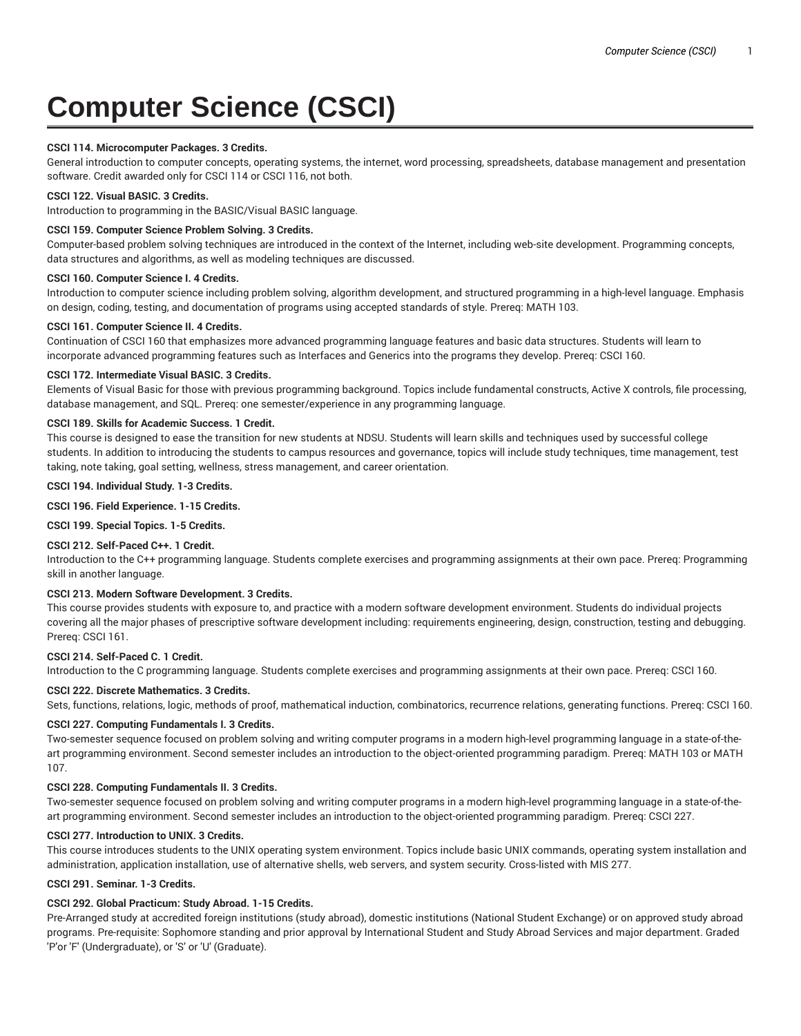# **Computer Science (CSCI)**

# **CSCI 114. Microcomputer Packages. 3 Credits.**

General introduction to computer concepts, operating systems, the internet, word processing, spreadsheets, database management and presentation software. Credit awarded only for CSCI 114 or CSCI 116, not both.

## **CSCI 122. Visual BASIC. 3 Credits.**

Introduction to programming in the BASIC/Visual BASIC language.

## **CSCI 159. Computer Science Problem Solving. 3 Credits.**

Computer-based problem solving techniques are introduced in the context of the Internet, including web-site development. Programming concepts, data structures and algorithms, as well as modeling techniques are discussed.

#### **CSCI 160. Computer Science I. 4 Credits.**

Introduction to computer science including problem solving, algorithm development, and structured programming in a high-level language. Emphasis on design, coding, testing, and documentation of programs using accepted standards of style. Prereq: MATH 103.

## **CSCI 161. Computer Science II. 4 Credits.**

Continuation of CSCI 160 that emphasizes more advanced programming language features and basic data structures. Students will learn to incorporate advanced programming features such as Interfaces and Generics into the programs they develop. Prereq: CSCI 160.

## **CSCI 172. Intermediate Visual BASIC. 3 Credits.**

Elements of Visual Basic for those with previous programming background. Topics include fundamental constructs, Active X controls, file processing, database management, and SQL. Prereq: one semester/experience in any programming language.

## **CSCI 189. Skills for Academic Success. 1 Credit.**

This course is designed to ease the transition for new students at NDSU. Students will learn skills and techniques used by successful college students. In addition to introducing the students to campus resources and governance, topics will include study techniques, time management, test taking, note taking, goal setting, wellness, stress management, and career orientation.

#### **CSCI 194. Individual Study. 1-3 Credits.**

**CSCI 196. Field Experience. 1-15 Credits.**

# **CSCI 199. Special Topics. 1-5 Credits.**

# **CSCI 212. Self-Paced C++. 1 Credit.**

Introduction to the C++ programming language. Students complete exercises and programming assignments at their own pace. Prereq: Programming skill in another language.

## **CSCI 213. Modern Software Development. 3 Credits.**

This course provides students with exposure to, and practice with a modern software development environment. Students do individual projects covering all the major phases of prescriptive software development including: requirements engineering, design, construction, testing and debugging. Prereq: CSCI 161.

## **CSCI 214. Self-Paced C. 1 Credit.**

Introduction to the C programming language. Students complete exercises and programming assignments at their own pace. Prereq: CSCI 160.

#### **CSCI 222. Discrete Mathematics. 3 Credits.**

Sets, functions, relations, logic, methods of proof, mathematical induction, combinatorics, recurrence relations, generating functions. Prereq: CSCI 160.

## **CSCI 227. Computing Fundamentals I. 3 Credits.**

Two-semester sequence focused on problem solving and writing computer programs in a modern high-level programming language in a state-of-theart programming environment. Second semester includes an introduction to the object-oriented programming paradigm. Prereq: MATH 103 or MATH 107.

## **CSCI 228. Computing Fundamentals II. 3 Credits.**

Two-semester sequence focused on problem solving and writing computer programs in a modern high-level programming language in a state-of-theart programming environment. Second semester includes an introduction to the object-oriented programming paradigm. Prereq: CSCI 227.

#### **CSCI 277. Introduction to UNIX. 3 Credits.**

This course introduces students to the UNIX operating system environment. Topics include basic UNIX commands, operating system installation and administration, application installation, use of alternative shells, web servers, and system security. Cross-listed with MIS 277.

# **CSCI 291. Seminar. 1-3 Credits.**

## **CSCI 292. Global Practicum: Study Abroad. 1-15 Credits.**

Pre-Arranged study at accredited foreign institutions (study abroad), domestic institutions (National Student Exchange) or on approved study abroad programs. Pre-requisite: Sophomore standing and prior approval by International Student and Study Abroad Services and major department. Graded 'P'or 'F' (Undergraduate), or 'S' or 'U' (Graduate).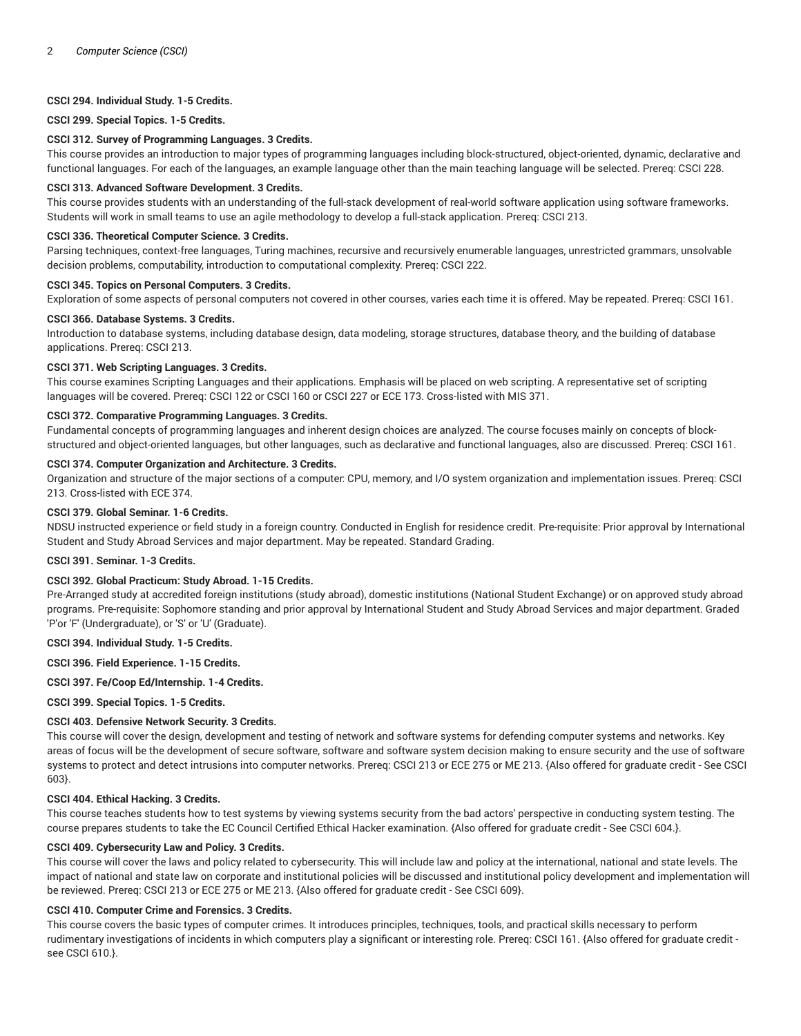## **CSCI 294. Individual Study. 1-5 Credits.**

#### **CSCI 299. Special Topics. 1-5 Credits.**

#### **CSCI 312. Survey of Programming Languages. 3 Credits.**

This course provides an introduction to major types of programming languages including block-structured, object-oriented, dynamic, declarative and functional languages. For each of the languages, an example language other than the main teaching language will be selected. Prereq: CSCI 228.

#### **CSCI 313. Advanced Software Development. 3 Credits.**

This course provides students with an understanding of the full-stack development of real-world software application using software frameworks. Students will work in small teams to use an agile methodology to develop a full-stack application. Prereq: CSCI 213.

#### **CSCI 336. Theoretical Computer Science. 3 Credits.**

Parsing techniques, context-free languages, Turing machines, recursive and recursively enumerable languages, unrestricted grammars, unsolvable decision problems, computability, introduction to computational complexity. Prereq: CSCI 222.

#### **CSCI 345. Topics on Personal Computers. 3 Credits.**

Exploration of some aspects of personal computers not covered in other courses, varies each time it is offered. May be repeated. Prereq: CSCI 161.

#### **CSCI 366. Database Systems. 3 Credits.**

Introduction to database systems, including database design, data modeling, storage structures, database theory, and the building of database applications. Prereq: CSCI 213.

## **CSCI 371. Web Scripting Languages. 3 Credits.**

This course examines Scripting Languages and their applications. Emphasis will be placed on web scripting. A representative set of scripting languages will be covered. Prereq: CSCI 122 or CSCI 160 or CSCI 227 or ECE 173. Cross-listed with MIS 371.

## **CSCI 372. Comparative Programming Languages. 3 Credits.**

Fundamental concepts of programming languages and inherent design choices are analyzed. The course focuses mainly on concepts of blockstructured and object-oriented languages, but other languages, such as declarative and functional languages, also are discussed. Prereq: CSCI 161.

## **CSCI 374. Computer Organization and Architecture. 3 Credits.**

Organization and structure of the major sections of a computer: CPU, memory, and I/O system organization and implementation issues. Prereq: CSCI 213. Cross-listed with ECE 374.

# **CSCI 379. Global Seminar. 1-6 Credits.**

NDSU instructed experience or field study in a foreign country. Conducted in English for residence credit. Pre-requisite: Prior approval by International Student and Study Abroad Services and major department. May be repeated. Standard Grading.

# **CSCI 391. Seminar. 1-3 Credits.**

# **CSCI 392. Global Practicum: Study Abroad. 1-15 Credits.**

Pre-Arranged study at accredited foreign institutions (study abroad), domestic institutions (National Student Exchange) or on approved study abroad programs. Pre-requisite: Sophomore standing and prior approval by International Student and Study Abroad Services and major department. Graded 'P'or 'F' (Undergraduate), or 'S' or 'U' (Graduate).

#### **CSCI 394. Individual Study. 1-5 Credits.**

**CSCI 396. Field Experience. 1-15 Credits.**

## **CSCI 397. Fe/Coop Ed/Internship. 1-4 Credits.**

**CSCI 399. Special Topics. 1-5 Credits.**

## **CSCI 403. Defensive Network Security. 3 Credits.**

This course will cover the design, development and testing of network and software systems for defending computer systems and networks. Key areas of focus will be the development of secure software, software and software system decision making to ensure security and the use of software systems to protect and detect intrusions into computer networks. Prereq: CSCI 213 or ECE 275 or ME 213. {Also offered for graduate credit - See CSCI 603}.

#### **CSCI 404. Ethical Hacking. 3 Credits.**

This course teaches students how to test systems by viewing systems security from the bad actors' perspective in conducting system testing. The course prepares students to take the EC Council Certified Ethical Hacker examination. {Also offered for graduate credit - See CSCI 604.}.

#### **CSCI 409. Cybersecurity Law and Policy. 3 Credits.**

This course will cover the laws and policy related to cybersecurity. This will include law and policy at the international, national and state levels. The impact of national and state law on corporate and institutional policies will be discussed and institutional policy development and implementation will be reviewed. Prereq: CSCI 213 or ECE 275 or ME 213. {Also offered for graduate credit - See CSCI 609}.

#### **CSCI 410. Computer Crime and Forensics. 3 Credits.**

This course covers the basic types of computer crimes. It introduces principles, techniques, tools, and practical skills necessary to perform rudimentary investigations of incidents in which computers play a significant or interesting role. Prereq: CSCI 161. {Also offered for graduate credit see CSCI 610.}.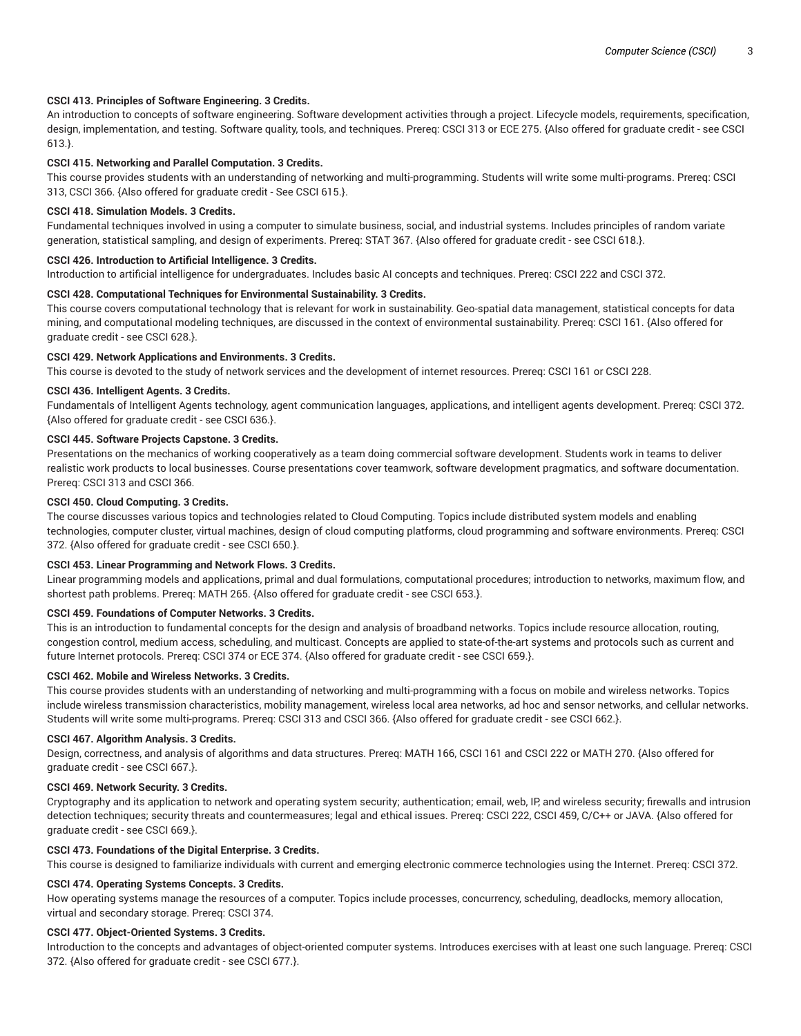## **CSCI 413. Principles of Software Engineering. 3 Credits.**

An introduction to concepts of software engineering. Software development activities through a project. Lifecycle models, requirements, specification, design, implementation, and testing. Software quality, tools, and techniques. Prereq: CSCI 313 or ECE 275. {Also offered for graduate credit - see CSCI 613.}.

## **CSCI 415. Networking and Parallel Computation. 3 Credits.**

This course provides students with an understanding of networking and multi-programming. Students will write some multi-programs. Prereq: CSCI 313, CSCI 366. {Also offered for graduate credit - See CSCI 615.}.

#### **CSCI 418. Simulation Models. 3 Credits.**

Fundamental techniques involved in using a computer to simulate business, social, and industrial systems. Includes principles of random variate generation, statistical sampling, and design of experiments. Prereq: STAT 367. {Also offered for graduate credit - see CSCI 618.}.

#### **CSCI 426. Introduction to Artificial Intelligence. 3 Credits.**

Introduction to artificial intelligence for undergraduates. Includes basic AI concepts and techniques. Prereq: CSCI 222 and CSCI 372.

## **CSCI 428. Computational Techniques for Environmental Sustainability. 3 Credits.**

This course covers computational technology that is relevant for work in sustainability. Geo-spatial data management, statistical concepts for data mining, and computational modeling techniques, are discussed in the context of environmental sustainability. Prereq: CSCI 161. {Also offered for graduate credit - see CSCI 628.}.

#### **CSCI 429. Network Applications and Environments. 3 Credits.**

This course is devoted to the study of network services and the development of internet resources. Prereq: CSCI 161 or CSCI 228.

## **CSCI 436. Intelligent Agents. 3 Credits.**

Fundamentals of Intelligent Agents technology, agent communication languages, applications, and intelligent agents development. Prereq: CSCI 372. {Also offered for graduate credit - see CSCI 636.}.

## **CSCI 445. Software Projects Capstone. 3 Credits.**

Presentations on the mechanics of working cooperatively as a team doing commercial software development. Students work in teams to deliver realistic work products to local businesses. Course presentations cover teamwork, software development pragmatics, and software documentation. Prereq: CSCI 313 and CSCI 366.

# **CSCI 450. Cloud Computing. 3 Credits.**

The course discusses various topics and technologies related to Cloud Computing. Topics include distributed system models and enabling technologies, computer cluster, virtual machines, design of cloud computing platforms, cloud programming and software environments. Prereq: CSCI 372. {Also offered for graduate credit - see CSCI 650.}.

#### **CSCI 453. Linear Programming and Network Flows. 3 Credits.**

Linear programming models and applications, primal and dual formulations, computational procedures; introduction to networks, maximum flow, and shortest path problems. Prereq: MATH 265. {Also offered for graduate credit - see CSCI 653.}.

#### **CSCI 459. Foundations of Computer Networks. 3 Credits.**

This is an introduction to fundamental concepts for the design and analysis of broadband networks. Topics include resource allocation, routing, congestion control, medium access, scheduling, and multicast. Concepts are applied to state-of-the-art systems and protocols such as current and future Internet protocols. Prereq: CSCI 374 or ECE 374. {Also offered for graduate credit - see CSCI 659.}.

#### **CSCI 462. Mobile and Wireless Networks. 3 Credits.**

This course provides students with an understanding of networking and multi-programming with a focus on mobile and wireless networks. Topics include wireless transmission characteristics, mobility management, wireless local area networks, ad hoc and sensor networks, and cellular networks. Students will write some multi-programs. Prereq: CSCI 313 and CSCI 366. {Also offered for graduate credit - see CSCI 662.}.

#### **CSCI 467. Algorithm Analysis. 3 Credits.**

Design, correctness, and analysis of algorithms and data structures. Prereq: MATH 166, CSCI 161 and CSCI 222 or MATH 270. {Also offered for graduate credit - see CSCI 667.}.

#### **CSCI 469. Network Security. 3 Credits.**

Cryptography and its application to network and operating system security; authentication; email, web, IP, and wireless security; firewalls and intrusion detection techniques; security threats and countermeasures; legal and ethical issues. Prereq: CSCI 222, CSCI 459, C/C++ or JAVA. {Also offered for graduate credit - see CSCI 669.}.

## **CSCI 473. Foundations of the Digital Enterprise. 3 Credits.**

This course is designed to familiarize individuals with current and emerging electronic commerce technologies using the Internet. Prereq: CSCI 372.

## **CSCI 474. Operating Systems Concepts. 3 Credits.**

How operating systems manage the resources of a computer. Topics include processes, concurrency, scheduling, deadlocks, memory allocation, virtual and secondary storage. Prereq: CSCI 374.

#### **CSCI 477. Object-Oriented Systems. 3 Credits.**

Introduction to the concepts and advantages of object-oriented computer systems. Introduces exercises with at least one such language. Prereq: CSCI 372. {Also offered for graduate credit - see CSCI 677.}.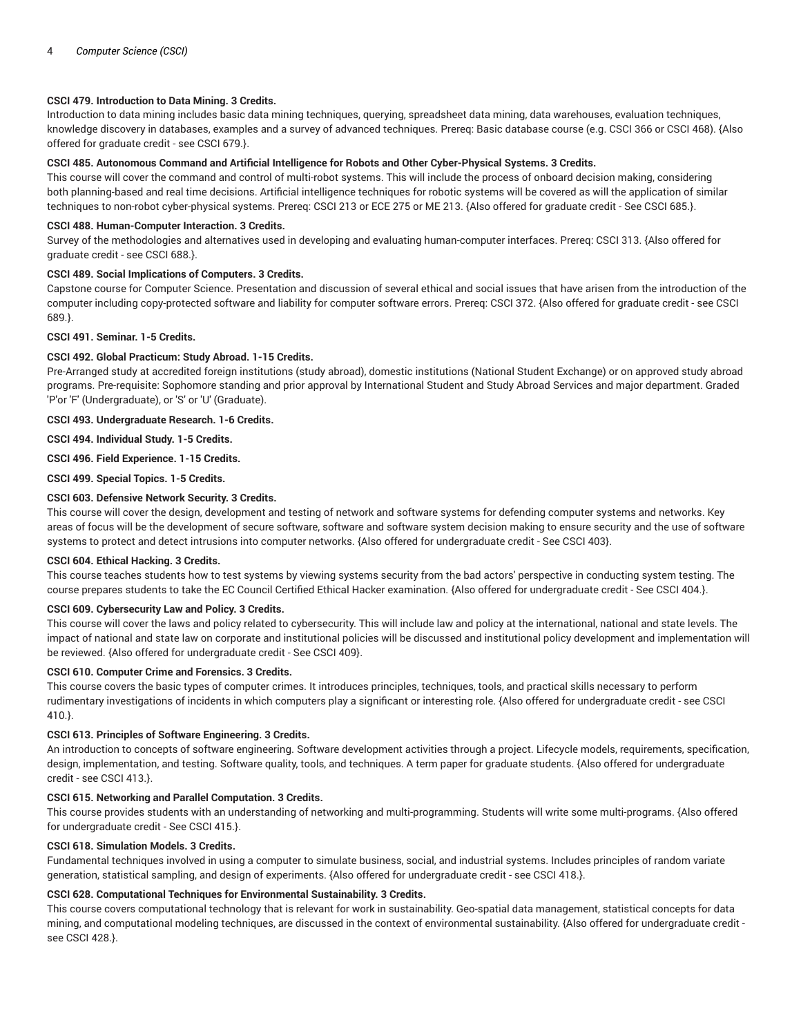## **CSCI 479. Introduction to Data Mining. 3 Credits.**

Introduction to data mining includes basic data mining techniques, querying, spreadsheet data mining, data warehouses, evaluation techniques, knowledge discovery in databases, examples and a survey of advanced techniques. Prereq: Basic database course (e.g. CSCI 366 or CSCI 468). {Also offered for graduate credit - see CSCI 679.}.

#### **CSCI 485. Autonomous Command and Artificial Intelligence for Robots and Other Cyber-Physical Systems. 3 Credits.**

This course will cover the command and control of multi-robot systems. This will include the process of onboard decision making, considering both planning-based and real time decisions. Artificial intelligence techniques for robotic systems will be covered as will the application of similar techniques to non-robot cyber-physical systems. Prereq: CSCI 213 or ECE 275 or ME 213. {Also offered for graduate credit - See CSCI 685.}.

## **CSCI 488. Human-Computer Interaction. 3 Credits.**

Survey of the methodologies and alternatives used in developing and evaluating human-computer interfaces. Prereq: CSCI 313. {Also offered for graduate credit - see CSCI 688.}.

## **CSCI 489. Social Implications of Computers. 3 Credits.**

Capstone course for Computer Science. Presentation and discussion of several ethical and social issues that have arisen from the introduction of the computer including copy-protected software and liability for computer software errors. Prereq: CSCI 372. {Also offered for graduate credit - see CSCI 689.}.

#### **CSCI 491. Seminar. 1-5 Credits.**

## **CSCI 492. Global Practicum: Study Abroad. 1-15 Credits.**

Pre-Arranged study at accredited foreign institutions (study abroad), domestic institutions (National Student Exchange) or on approved study abroad programs. Pre-requisite: Sophomore standing and prior approval by International Student and Study Abroad Services and major department. Graded 'P'or 'F' (Undergraduate), or 'S' or 'U' (Graduate).

## **CSCI 493. Undergraduate Research. 1-6 Credits.**

**CSCI 494. Individual Study. 1-5 Credits.**

# **CSCI 496. Field Experience. 1-15 Credits.**

**CSCI 499. Special Topics. 1-5 Credits.**

## **CSCI 603. Defensive Network Security. 3 Credits.**

This course will cover the design, development and testing of network and software systems for defending computer systems and networks. Key areas of focus will be the development of secure software, software and software system decision making to ensure security and the use of software systems to protect and detect intrusions into computer networks. {Also offered for undergraduate credit - See CSCI 403}.

#### **CSCI 604. Ethical Hacking. 3 Credits.**

This course teaches students how to test systems by viewing systems security from the bad actors' perspective in conducting system testing. The course prepares students to take the EC Council Certified Ethical Hacker examination. {Also offered for undergraduate credit - See CSCI 404.}.

#### **CSCI 609. Cybersecurity Law and Policy. 3 Credits.**

This course will cover the laws and policy related to cybersecurity. This will include law and policy at the international, national and state levels. The impact of national and state law on corporate and institutional policies will be discussed and institutional policy development and implementation will be reviewed. {Also offered for undergraduate credit - See CSCI 409}.

#### **CSCI 610. Computer Crime and Forensics. 3 Credits.**

This course covers the basic types of computer crimes. It introduces principles, techniques, tools, and practical skills necessary to perform rudimentary investigations of incidents in which computers play a significant or interesting role. {Also offered for undergraduate credit - see CSCI 410.}.

## **CSCI 613. Principles of Software Engineering. 3 Credits.**

An introduction to concepts of software engineering. Software development activities through a project. Lifecycle models, requirements, specification, design, implementation, and testing. Software quality, tools, and techniques. A term paper for graduate students. {Also offered for undergraduate credit - see CSCI 413.}.

#### **CSCI 615. Networking and Parallel Computation. 3 Credits.**

This course provides students with an understanding of networking and multi-programming. Students will write some multi-programs. {Also offered for undergraduate credit - See CSCI 415.}.

## **CSCI 618. Simulation Models. 3 Credits.**

Fundamental techniques involved in using a computer to simulate business, social, and industrial systems. Includes principles of random variate generation, statistical sampling, and design of experiments. {Also offered for undergraduate credit - see CSCI 418.}.

## **CSCI 628. Computational Techniques for Environmental Sustainability. 3 Credits.**

This course covers computational technology that is relevant for work in sustainability. Geo-spatial data management, statistical concepts for data mining, and computational modeling techniques, are discussed in the context of environmental sustainability. {Also offered for undergraduate credit see CSCI 428.}.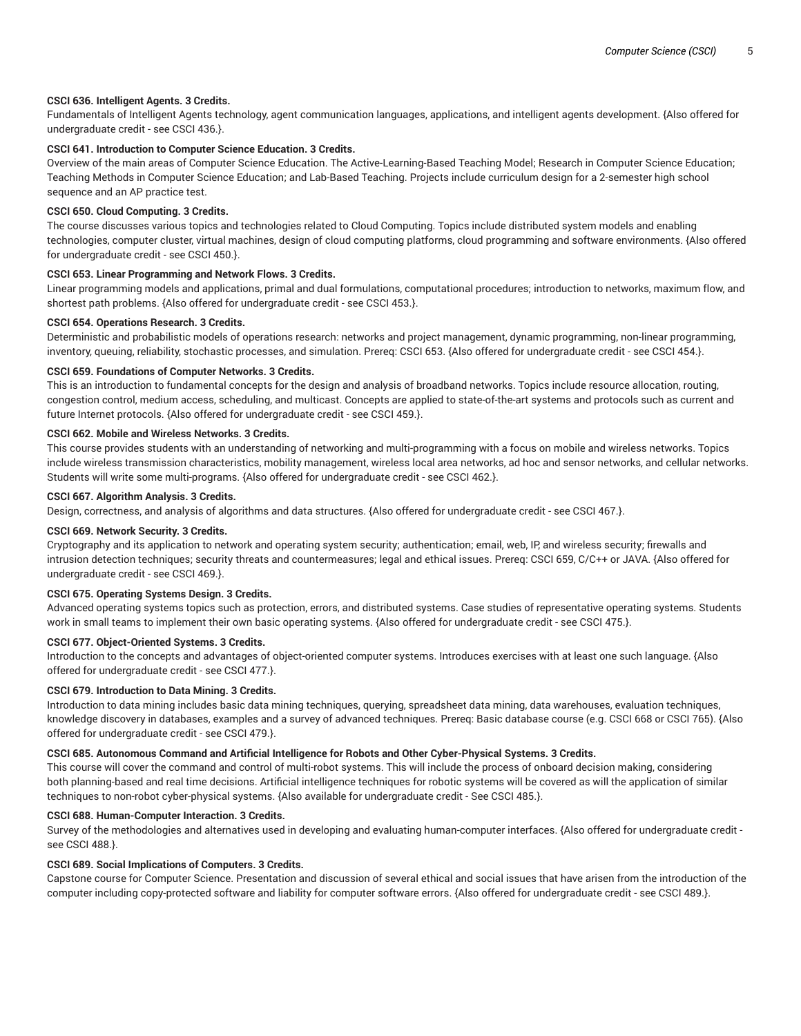## **CSCI 636. Intelligent Agents. 3 Credits.**

Fundamentals of Intelligent Agents technology, agent communication languages, applications, and intelligent agents development. {Also offered for undergraduate credit - see CSCI 436.}.

# **CSCI 641. Introduction to Computer Science Education. 3 Credits.**

Overview of the main areas of Computer Science Education. The Active-Learning-Based Teaching Model; Research in Computer Science Education; Teaching Methods in Computer Science Education; and Lab-Based Teaching. Projects include curriculum design for a 2-semester high school sequence and an AP practice test.

## **CSCI 650. Cloud Computing. 3 Credits.**

The course discusses various topics and technologies related to Cloud Computing. Topics include distributed system models and enabling technologies, computer cluster, virtual machines, design of cloud computing platforms, cloud programming and software environments. {Also offered for undergraduate credit - see CSCI 450.}.

## **CSCI 653. Linear Programming and Network Flows. 3 Credits.**

Linear programming models and applications, primal and dual formulations, computational procedures; introduction to networks, maximum flow, and shortest path problems. {Also offered for undergraduate credit - see CSCI 453.}.

## **CSCI 654. Operations Research. 3 Credits.**

Deterministic and probabilistic models of operations research: networks and project management, dynamic programming, non-linear programming, inventory, queuing, reliability, stochastic processes, and simulation. Prereq: CSCI 653. {Also offered for undergraduate credit - see CSCI 454.}.

## **CSCI 659. Foundations of Computer Networks. 3 Credits.**

This is an introduction to fundamental concepts for the design and analysis of broadband networks. Topics include resource allocation, routing, congestion control, medium access, scheduling, and multicast. Concepts are applied to state-of-the-art systems and protocols such as current and future Internet protocols. {Also offered for undergraduate credit - see CSCI 459.}.

## **CSCI 662. Mobile and Wireless Networks. 3 Credits.**

This course provides students with an understanding of networking and multi-programming with a focus on mobile and wireless networks. Topics include wireless transmission characteristics, mobility management, wireless local area networks, ad hoc and sensor networks, and cellular networks. Students will write some multi-programs. {Also offered for undergraduate credit - see CSCI 462.}.

## **CSCI 667. Algorithm Analysis. 3 Credits.**

Design, correctness, and analysis of algorithms and data structures. {Also offered for undergraduate credit - see CSCI 467.}.

#### **CSCI 669. Network Security. 3 Credits.**

Cryptography and its application to network and operating system security; authentication; email, web, IP, and wireless security; firewalls and intrusion detection techniques; security threats and countermeasures; legal and ethical issues. Prereq: CSCI 659, C/C++ or JAVA. {Also offered for undergraduate credit - see CSCI 469.}.

## **CSCI 675. Operating Systems Design. 3 Credits.**

Advanced operating systems topics such as protection, errors, and distributed systems. Case studies of representative operating systems. Students work in small teams to implement their own basic operating systems. {Also offered for undergraduate credit - see CSCI 475.}.

#### **CSCI 677. Object-Oriented Systems. 3 Credits.**

Introduction to the concepts and advantages of object-oriented computer systems. Introduces exercises with at least one such language. {Also offered for undergraduate credit - see CSCI 477.}.

## **CSCI 679. Introduction to Data Mining. 3 Credits.**

Introduction to data mining includes basic data mining techniques, querying, spreadsheet data mining, data warehouses, evaluation techniques, knowledge discovery in databases, examples and a survey of advanced techniques. Prereq: Basic database course (e.g. CSCI 668 or CSCI 765). {Also offered for undergraduate credit - see CSCI 479.}.

## **CSCI 685. Autonomous Command and Artificial Intelligence for Robots and Other Cyber-Physical Systems. 3 Credits.**

This course will cover the command and control of multi-robot systems. This will include the process of onboard decision making, considering both planning-based and real time decisions. Artificial intelligence techniques for robotic systems will be covered as will the application of similar techniques to non-robot cyber-physical systems. {Also available for undergraduate credit - See CSCI 485.}.

## **CSCI 688. Human-Computer Interaction. 3 Credits.**

Survey of the methodologies and alternatives used in developing and evaluating human-computer interfaces. {Also offered for undergraduate credit see CSCI 488.}.

#### **CSCI 689. Social Implications of Computers. 3 Credits.**

Capstone course for Computer Science. Presentation and discussion of several ethical and social issues that have arisen from the introduction of the computer including copy-protected software and liability for computer software errors. {Also offered for undergraduate credit - see CSCI 489.}.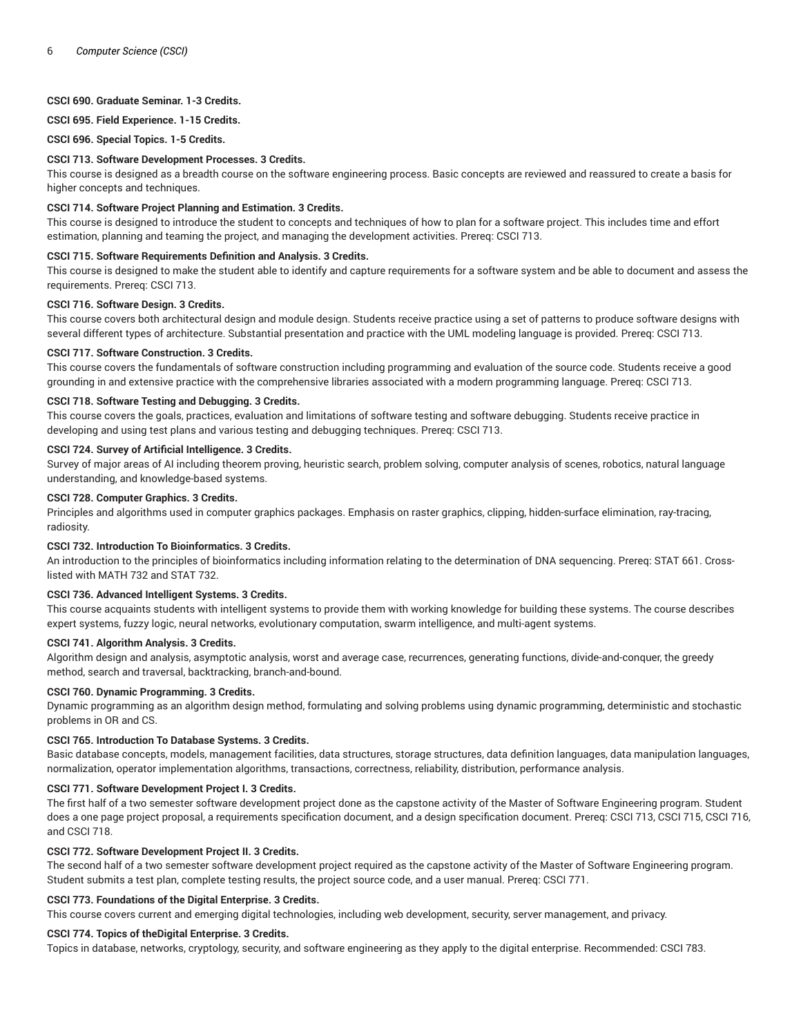# **CSCI 690. Graduate Seminar. 1-3 Credits.**

**CSCI 695. Field Experience. 1-15 Credits.**

**CSCI 696. Special Topics. 1-5 Credits.**

## **CSCI 713. Software Development Processes. 3 Credits.**

This course is designed as a breadth course on the software engineering process. Basic concepts are reviewed and reassured to create a basis for higher concepts and techniques.

# **CSCI 714. Software Project Planning and Estimation. 3 Credits.**

This course is designed to introduce the student to concepts and techniques of how to plan for a software project. This includes time and effort estimation, planning and teaming the project, and managing the development activities. Prereq: CSCI 713.

## **CSCI 715. Software Requirements Definition and Analysis. 3 Credits.**

This course is designed to make the student able to identify and capture requirements for a software system and be able to document and assess the requirements. Prereq: CSCI 713.

## **CSCI 716. Software Design. 3 Credits.**

This course covers both architectural design and module design. Students receive practice using a set of patterns to produce software designs with several different types of architecture. Substantial presentation and practice with the UML modeling language is provided. Prereq: CSCI 713.

## **CSCI 717. Software Construction. 3 Credits.**

This course covers the fundamentals of software construction including programming and evaluation of the source code. Students receive a good grounding in and extensive practice with the comprehensive libraries associated with a modern programming language. Prereq: CSCI 713.

# **CSCI 718. Software Testing and Debugging. 3 Credits.**

This course covers the goals, practices, evaluation and limitations of software testing and software debugging. Students receive practice in developing and using test plans and various testing and debugging techniques. Prereq: CSCI 713.

## **CSCI 724. Survey of Artificial Intelligence. 3 Credits.**

Survey of major areas of AI including theorem proving, heuristic search, problem solving, computer analysis of scenes, robotics, natural language understanding, and knowledge-based systems.

## **CSCI 728. Computer Graphics. 3 Credits.**

Principles and algorithms used in computer graphics packages. Emphasis on raster graphics, clipping, hidden-surface elimination, ray-tracing, radiosity.

#### **CSCI 732. Introduction To Bioinformatics. 3 Credits.**

An introduction to the principles of bioinformatics including information relating to the determination of DNA sequencing. Prereq: STAT 661. Crosslisted with MATH 732 and STAT 732.

## **CSCI 736. Advanced Intelligent Systems. 3 Credits.**

This course acquaints students with intelligent systems to provide them with working knowledge for building these systems. The course describes expert systems, fuzzy logic, neural networks, evolutionary computation, swarm intelligence, and multi-agent systems.

#### **CSCI 741. Algorithm Analysis. 3 Credits.**

Algorithm design and analysis, asymptotic analysis, worst and average case, recurrences, generating functions, divide-and-conquer, the greedy method, search and traversal, backtracking, branch-and-bound.

## **CSCI 760. Dynamic Programming. 3 Credits.**

Dynamic programming as an algorithm design method, formulating and solving problems using dynamic programming, deterministic and stochastic problems in OR and CS.

# **CSCI 765. Introduction To Database Systems. 3 Credits.**

Basic database concepts, models, management facilities, data structures, storage structures, data definition languages, data manipulation languages, normalization, operator implementation algorithms, transactions, correctness, reliability, distribution, performance analysis.

#### **CSCI 771. Software Development Project I. 3 Credits.**

The first half of a two semester software development project done as the capstone activity of the Master of Software Engineering program. Student does a one page project proposal, a requirements specification document, and a design specification document. Prereq: CSCI 713, CSCI 715, CSCI 716, and CSCI 718.

#### **CSCI 772. Software Development Project II. 3 Credits.**

The second half of a two semester software development project required as the capstone activity of the Master of Software Engineering program. Student submits a test plan, complete testing results, the project source code, and a user manual. Prereq: CSCI 771.

#### **CSCI 773. Foundations of the Digital Enterprise. 3 Credits.**

This course covers current and emerging digital technologies, including web development, security, server management, and privacy.

#### **CSCI 774. Topics of theDigital Enterprise. 3 Credits.**

Topics in database, networks, cryptology, security, and software engineering as they apply to the digital enterprise. Recommended: CSCI 783.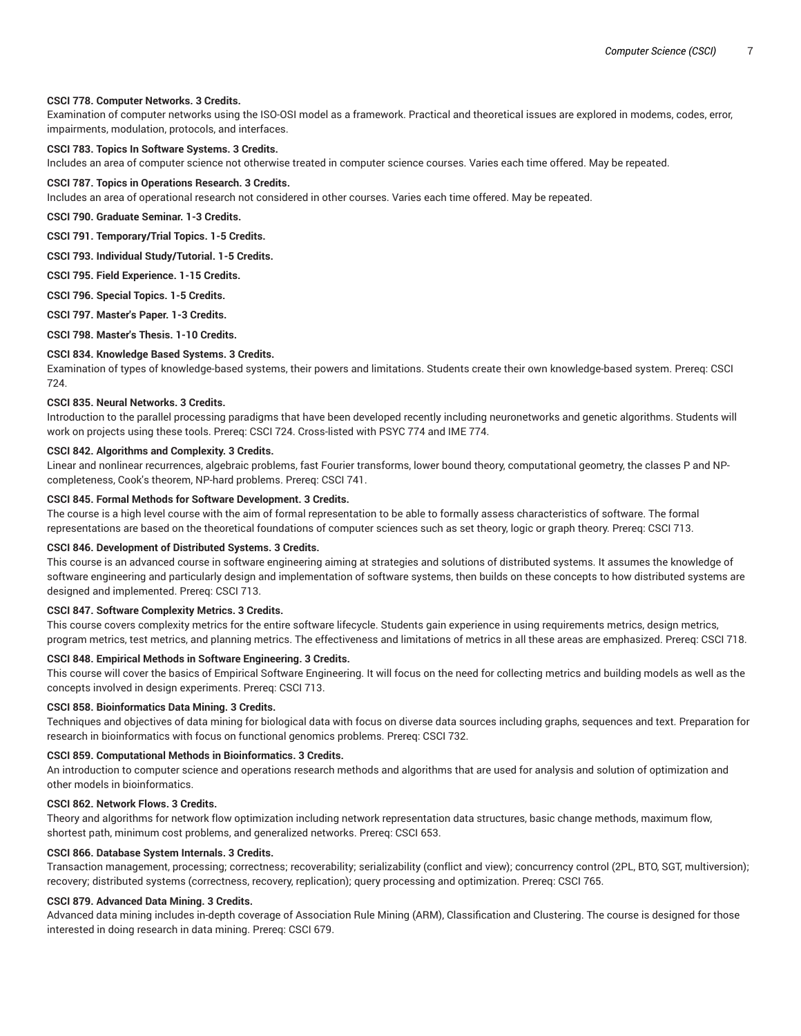## **CSCI 778. Computer Networks. 3 Credits.**

Examination of computer networks using the ISO-OSI model as a framework. Practical and theoretical issues are explored in modems, codes, error, impairments, modulation, protocols, and interfaces.

## **CSCI 783. Topics In Software Systems. 3 Credits.**

Includes an area of computer science not otherwise treated in computer science courses. Varies each time offered. May be repeated.

#### **CSCI 787. Topics in Operations Research. 3 Credits.**

Includes an area of operational research not considered in other courses. Varies each time offered. May be repeated.

**CSCI 790. Graduate Seminar. 1-3 Credits.**

**CSCI 791. Temporary/Trial Topics. 1-5 Credits.**

**CSCI 793. Individual Study/Tutorial. 1-5 Credits.**

**CSCI 795. Field Experience. 1-15 Credits.**

**CSCI 796. Special Topics. 1-5 Credits.**

**CSCI 797. Master's Paper. 1-3 Credits.**

**CSCI 798. Master's Thesis. 1-10 Credits.**

## **CSCI 834. Knowledge Based Systems. 3 Credits.**

Examination of types of knowledge-based systems, their powers and limitations. Students create their own knowledge-based system. Prereq: CSCI 724.

## **CSCI 835. Neural Networks. 3 Credits.**

Introduction to the parallel processing paradigms that have been developed recently including neuronetworks and genetic algorithms. Students will work on projects using these tools. Prereq: CSCI 724. Cross-listed with PSYC 774 and IME 774.

## **CSCI 842. Algorithms and Complexity. 3 Credits.**

Linear and nonlinear recurrences, algebraic problems, fast Fourier transforms, lower bound theory, computational geometry, the classes P and NPcompleteness, Cook's theorem, NP-hard problems. Prereq: CSCI 741.

#### **CSCI 845. Formal Methods for Software Development. 3 Credits.**

The course is a high level course with the aim of formal representation to be able to formally assess characteristics of software. The formal representations are based on the theoretical foundations of computer sciences such as set theory, logic or graph theory. Prereq: CSCI 713.

## **CSCI 846. Development of Distributed Systems. 3 Credits.**

This course is an advanced course in software engineering aiming at strategies and solutions of distributed systems. It assumes the knowledge of software engineering and particularly design and implementation of software systems, then builds on these concepts to how distributed systems are designed and implemented. Prereq: CSCI 713.

#### **CSCI 847. Software Complexity Metrics. 3 Credits.**

This course covers complexity metrics for the entire software lifecycle. Students gain experience in using requirements metrics, design metrics, program metrics, test metrics, and planning metrics. The effectiveness and limitations of metrics in all these areas are emphasized. Prereq: CSCI 718.

#### **CSCI 848. Empirical Methods in Software Engineering. 3 Credits.**

This course will cover the basics of Empirical Software Engineering. It will focus on the need for collecting metrics and building models as well as the concepts involved in design experiments. Prereq: CSCI 713.

#### **CSCI 858. Bioinformatics Data Mining. 3 Credits.**

Techniques and objectives of data mining for biological data with focus on diverse data sources including graphs, sequences and text. Preparation for research in bioinformatics with focus on functional genomics problems. Prereq: CSCI 732.

#### **CSCI 859. Computational Methods in Bioinformatics. 3 Credits.**

An introduction to computer science and operations research methods and algorithms that are used for analysis and solution of optimization and other models in bioinformatics.

## **CSCI 862. Network Flows. 3 Credits.**

Theory and algorithms for network flow optimization including network representation data structures, basic change methods, maximum flow, shortest path, minimum cost problems, and generalized networks. Prereq: CSCI 653.

#### **CSCI 866. Database System Internals. 3 Credits.**

Transaction management, processing; correctness; recoverability; serializability (conflict and view); concurrency control (2PL, BTO, SGT, multiversion); recovery; distributed systems (correctness, recovery, replication); query processing and optimization. Prereq: CSCI 765.

## **CSCI 879. Advanced Data Mining. 3 Credits.**

Advanced data mining includes in-depth coverage of Association Rule Mining (ARM), Classification and Clustering. The course is designed for those interested in doing research in data mining. Prereq: CSCI 679.